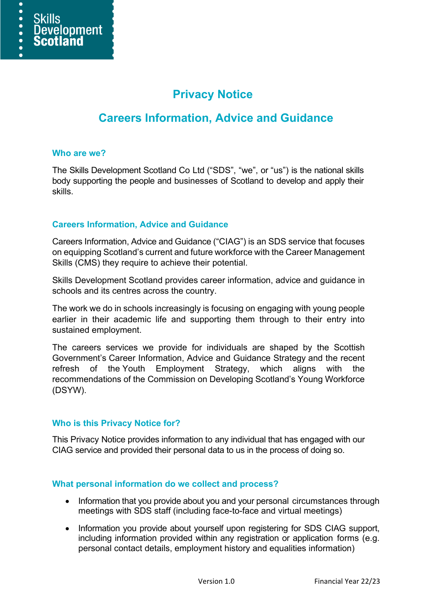e

 $\bullet$  $\bullet$ 

# **Privacy Notice**

## **Careers Information, Advice and Guidance**

#### **Who are we?**

The Skills Development Scotland Co Ltd ("SDS", "we", or "us") is the national skills body supporting the people and businesses of Scotland to develop and apply their skills.

## **Careers Information, Advice and Guidance**

Careers Information, Advice and Guidance ("CIAG") is an SDS service that focuses on equipping Scotland's current and future workforce with the Career Management Skills (CMS) they require to achieve their potential.

Skills Development Scotland provides career information, advice and guidance in schools and its centres across the country.

The work we do in schools increasingly is focusing on engaging with young people earlier in their academic life and supporting them through to their entry into sustained employment.

The careers services we provide for individuals are shaped by the Scottish Government's Career Information, Advice and Guidance Strategy and the recent refresh of the Youth Employment Strategy, which aligns with the recommendations of the Commission on Developing Scotland's Young Workforce (DSYW).

#### **Who is this Privacy Notice for?**

This Privacy Notice provides information to any individual that has engaged with our CIAG service and provided their personal data to us in the process of doing so.

#### **What personal information do we collect and process?**

- Information that you provide about you and your personal circumstances through meetings with SDS staff (including face-to-face and virtual meetings)
- Information you provide about yourself upon registering for SDS CIAG support, including information provided within any registration or application forms (e.g. personal contact details, employment history and equalities information)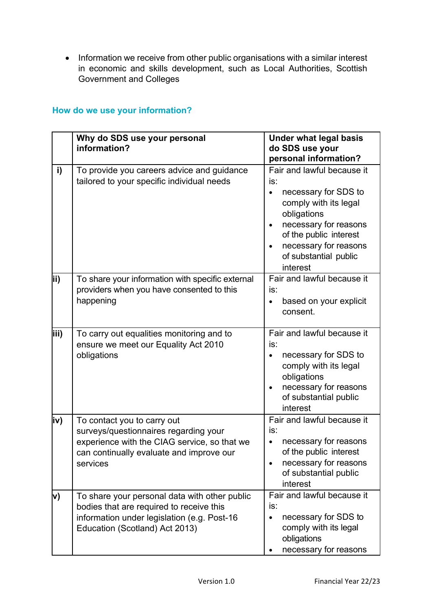• Information we receive from other public organisations with a similar interest in economic and skills development, such as Local Authorities, Scottish Government and Colleges

|      | Why do SDS use your personal<br>information?                                                                                                                                 | <b>Under what legal basis</b><br>do SDS use your                                                                                                                                                                                |
|------|------------------------------------------------------------------------------------------------------------------------------------------------------------------------------|---------------------------------------------------------------------------------------------------------------------------------------------------------------------------------------------------------------------------------|
|      |                                                                                                                                                                              | personal information?                                                                                                                                                                                                           |
| i)   | To provide you careers advice and guidance<br>tailored to your specific individual needs                                                                                     | Fair and lawful because it<br>is:<br>necessary for SDS to<br>comply with its legal<br>obligations<br>necessary for reasons<br>of the public interest<br>necessary for reasons<br>$\bullet$<br>of substantial public<br>interest |
| lii) | To share your information with specific external<br>providers when you have consented to this<br>happening                                                                   | Fair and lawful because it<br>is:<br>based on your explicit<br>consent.                                                                                                                                                         |
| iii) | To carry out equalities monitoring and to<br>ensure we meet our Equality Act 2010<br>obligations                                                                             | Fair and lawful because it<br>is:<br>necessary for SDS to<br>$\bullet$<br>comply with its legal<br>obligations<br>necessary for reasons<br>of substantial public<br>interest                                                    |
| iv)  | To contact you to carry out<br>surveys/questionnaires regarding your<br>experience with the CIAG service, so that we<br>can continually evaluate and improve our<br>services | Fair and lawful because it<br>is:<br>necessary for reasons<br>of the public interest<br>necessary for reasons<br>of substantial public<br>interest                                                                              |
| V)   | To share your personal data with other public<br>bodies that are required to receive this<br>information under legislation (e.g. Post-16<br>Education (Scotland) Act 2013)   | Fair and lawful because it<br>is:<br>necessary for SDS to<br>comply with its legal<br>obligations<br>necessary for reasons                                                                                                      |

## **How do we use your information?**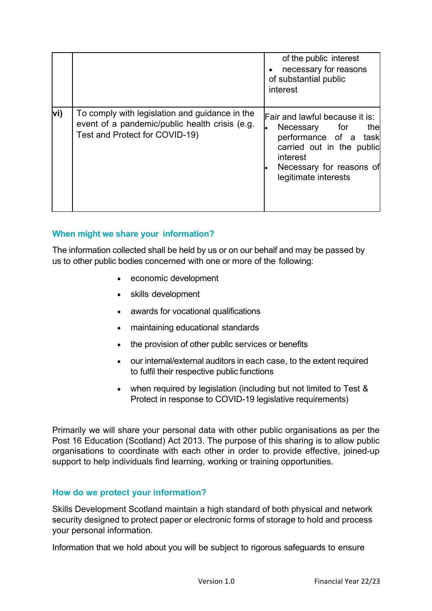|      |                                                                                                                                    | of the public interest<br>necessary for reasons<br>of substantial public<br>interest                                                                                                |
|------|------------------------------------------------------------------------------------------------------------------------------------|-------------------------------------------------------------------------------------------------------------------------------------------------------------------------------------|
| lvi) | To comply with legislation and guidance in the<br>event of a pandemic/public health crisis (e.g.<br>Test and Protect for COVID-19) | <b>Fair and lawful because it is:</b><br>Necessary for<br>the<br>performance of a task<br>carried out in the public<br>interest<br>Necessary for reasons of<br>legitimate interests |

## **When might we share your information?**

The information collected shall be held by us or on our behalf and may be passed by us to other public bodies concerned with one or more of the following:

- economic development
- skills development
- awards for vocational qualifications
- maintaining educational standards
- the provision of other public services or benefits
- our internal/external auditors in each case, to the extent required to fulfil their respective public functions
- when required by legislation (including but not limited to Test & Protect in response to COVID-19 legislative requirements)

Primarily we will share your personal data with other public organisations as per the Post 16 Education (Scotland) Act 2013. The purpose of this sharing is to allow public organisations to coordinate with each other in order to provide effective, joined-up support to help individuals find learning, working or training opportunities.

#### **How do we protect your information?**

Skills Development Scotland maintain a high standard of both physical and network security designed to protect paper or electronic forms of storage to hold and process your personal information.

Information that we hold about you will be subject to rigorous safeguards to ensure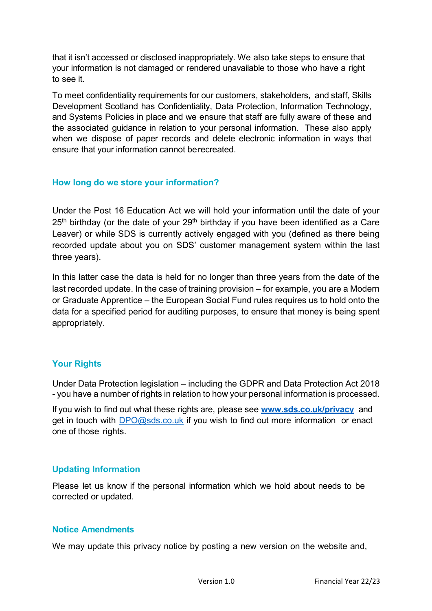that it isn't accessed or disclosed inappropriately. We also take steps to ensure that your information is not damaged or rendered unavailable to those who have a right to see it.

To meet confidentiality requirements for our customers, stakeholders, and staff, Skills Development Scotland has Confidentiality, Data Protection, Information Technology, and Systems Policies in place and we ensure that staff are fully aware of these and the associated guidance in relation to your personal information. These also apply when we dispose of paper records and delete electronic information in ways that ensure that your information cannot berecreated.

#### **How long do we store your information?**

Under the Post 16 Education Act we will hold your information until the date of your  $25<sup>th</sup>$  birthday (or the date of your  $29<sup>th</sup>$  birthday if you have been identified as a Care Leaver) or while SDS is currently actively engaged with you (defined as there being recorded update about you on SDS' customer management system within the last three years).

In this latter case the data is held for no longer than three years from the date of the last recorded update. In the case of training provision – for example, you are a Modern or Graduate Apprentice – the European Social Fund rules requires us to hold onto the data for a specified period for auditing purposes, to ensure that money is being spent appropriately.

#### **Your Rights**

Under Data Protection legislation – including the GDPR and Data Protection Act 2018 - you have a number of rights in relation to how your personal information is processed.

If you wish to find out what these rights are, please see **[www.sds.co.uk/privacy](http://www.sds.co.uk/privacy)** and get in touch with [DPO@sds.co.uk i](mailto:DPO@sds.co.uk)f you wish to find out more information or enact one of those rights.

#### **Updating Information**

Please let us know if the personal information which we hold about needs to be corrected or updated.

#### **Notice Amendments**

We may update this privacy notice by posting a new version on the website and,